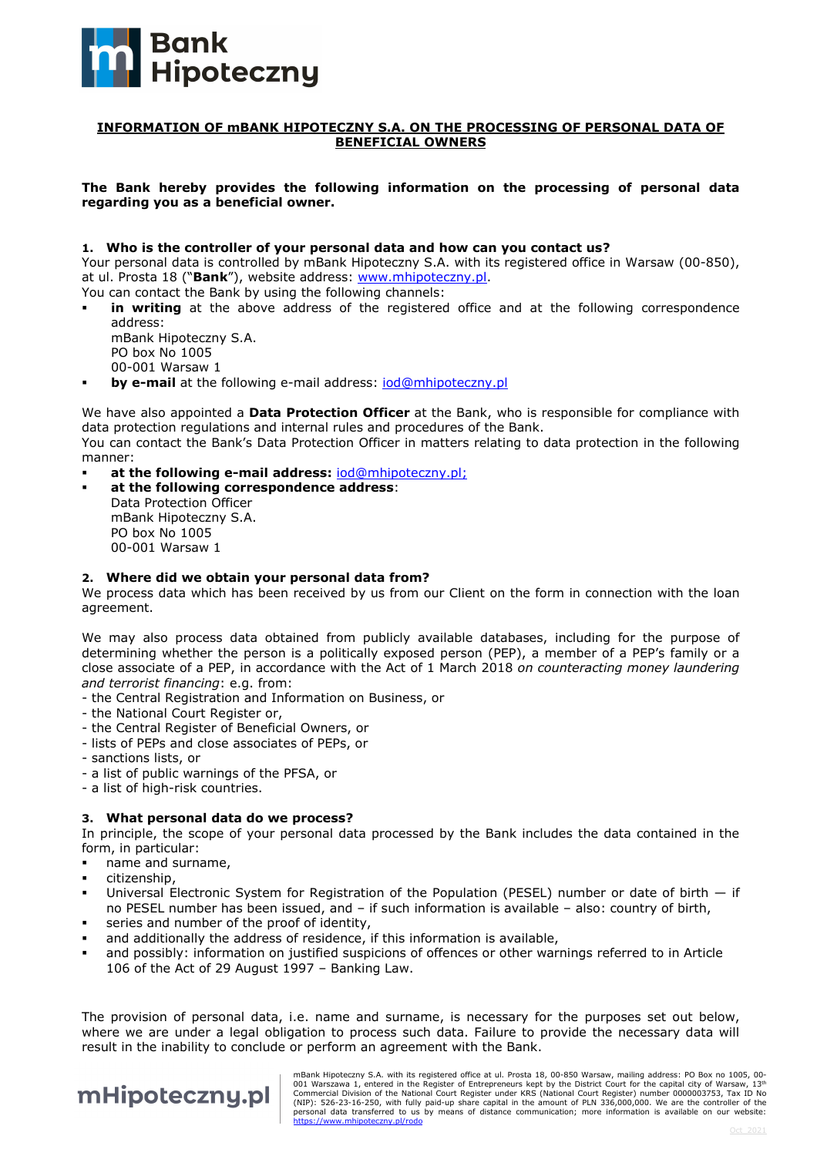

## **INFORMATION OF mBANK HIPOTECZNY S.A. ON THE PROCESSING OF PERSONAL DATA OF BENEFICIAL OWNERS**

### **The Bank hereby provides the following information on the processing of personal data regarding you as a beneficial owner.**

#### **1. Who is the controller of your personal data and how can you contact us?**

Your personal data is controlled by mBank Hipoteczny S.A. with its registered office in Warsaw (00-850), at ul. Prosta 18 ("**Bank**"), website address: www.mhipoteczny.pl.

You can contact the Bank by using the following channels:

 **in writing** at the above address of the registered office and at the following correspondence address:

mBank Hipoteczny S.A. PO box No 1005 00-001 Warsaw 1

**by e-mail** at the following e-mail address: **iod@mhipoteczny.pl** 

We have also appointed a **Data Protection Officer** at the Bank, who is responsible for compliance with data protection regulations and internal rules and procedures of the Bank. You can contact the Bank's Data Protection Officer in matters relating to data protection in the following

- manner: **at the following e-mail address:** iod@mhipoteczny.pl;
- **at the following correspondence address**: Data Protection Officer mBank Hipoteczny S.A. PO box No 1005 00-001 Warsaw 1

#### **2. Where did we obtain your personal data from?**

We process data which has been received by us from our Client on the form in connection with the loan agreement.

We may also process data obtained from publicly available databases, including for the purpose of determining whether the person is a politically exposed person (PEP), a member of a PEP's family or a close associate of a PEP, in accordance with the Act of 1 March 2018 *on counteracting money laundering and terrorist financing*: e.g. from:

- the Central Registration and Information on Business, or
- the National Court Register or,
- the Central Register of Beneficial Owners, or
- lists of PEPs and close associates of PEPs, or
- sanctions lists, or
- a list of public warnings of the PFSA, or
- a list of high-risk countries.

### **3. What personal data do we process?**

In principle, the scope of your personal data processed by the Bank includes the data contained in the form, in particular:

- name and surname,
- citizenship,
- Universal Electronic System for Registration of the Population (PESEL) number or date of birth if no PESEL number has been issued, and – if such information is available – also: country of birth,
- series and number of the proof of identity,
- and additionally the address of residence, if this information is available,
- and possibly: information on justified suspicions of offences or other warnings referred to in Article 106 of the Act of 29 August 1997 – Banking Law.

The provision of personal data, i.e. name and surname, is necessary for the purposes set out below, where we are under a legal obligation to process such data. Failure to provide the necessary data will result in the inability to conclude or perform an agreement with the Bank.

# mHipoteczny.pl